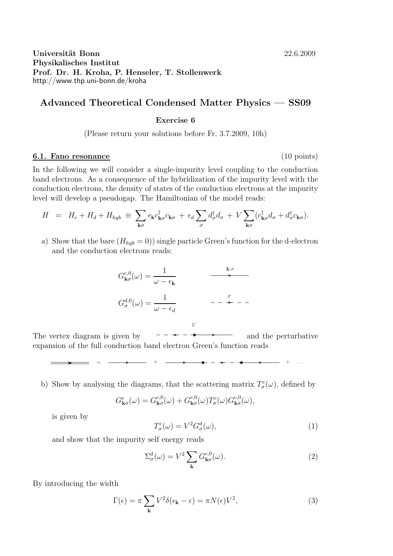## Universität Bonn 22.6.2009 Physikalisches Institut Prof. Dr. H. Kroha, P. Henseler, T. Stollenwerk http://www.thp.uni-bonn.de/kroha

# Advanced Theoretical Condensed Matter Physics — SS09

#### Exercise 6

(Please return your solutions before Fr. 3.7.2009, 10h)

### 6.1. Fano resonance (10 points)

In the following we will consider a single-impurity level coupling to the conduction band electrons. As a consequence of the hybridization of the impurity level with the conduction electrons, the density of states of the conduction electrons at the impurity level will develop a pseudogap. The Hamiltonian of the model reads:

$$
H = H_c + H_d + H_{hyb} \equiv \sum_{\mathbf{k}\sigma} \epsilon_{\mathbf{k}} c_{\mathbf{k}\sigma}^{\dagger} c_{\mathbf{k}\sigma} + \epsilon_d \sum_{\sigma} d_{\sigma}^{\dagger} d_{\sigma} + V \sum_{\mathbf{k}\sigma} (c_{\mathbf{k}\sigma}^{\dagger} d_{\sigma} + d_{\sigma}^{\dagger} c_{\mathbf{k}\sigma}).
$$

a) Show that the bare  $(H_{hyb} = 0)$  single particle Green's function for the d-electron and the conduction electrons reads:

$$
G_{\mathbf{k}\sigma}^{c,0}(\omega) = \frac{1}{\omega - \epsilon_{\mathbf{k}}}
$$
\n
$$
G_{\sigma}^{d,0}(\omega) = \frac{1}{\omega - \epsilon_{d}}
$$
\n
$$
G_{\sigma}^{d,0}(\omega) = \frac{1}{\omega - \epsilon_{d}}
$$
\n
$$
G_{\sigma}^{d,0}(\omega) = \frac{1}{\omega - \epsilon_{d}}
$$

V

 $=$  =  $\longrightarrow$  +  $\longrightarrow$  +  $\longrightarrow$  +  $\longrightarrow$  +  $\longrightarrow$  +  $\longrightarrow$  +  $\longrightarrow$  +  $\longrightarrow$  +  $\longrightarrow$  +  $\longrightarrow$  +  $\longrightarrow$  +  $\longrightarrow$  +  $\longrightarrow$  +  $\longrightarrow$  +  $\longrightarrow$  +  $\longrightarrow$  +  $\longrightarrow$  +  $\longrightarrow$  +  $\longrightarrow$  +  $\longrightarrow$  +  $\longrightarrow$  +  $\longrightarrow$  +  $\longrightarrow$  +  $\longrightarrow$  +  $\longrightarrow$  +  $\longrightarrow$  +  $\longrightarrow$  +  $\longrightarrow$  +  $\longrightarrow$  +  $\longrightarrow$  +  $\longrightarrow$ 

The vertex diagram is given by  $--- \rightarrow - \rightarrow$  and the perturbative expansion of the full conduction band electron Green's function reads

b) Show by analysing the diagrams, that the scattering matrix  $T^c_{\sigma}(\omega)$ , defined by

$$
G_{\mathbf{k}\sigma}^{c}(\omega) = G_{\mathbf{k}\sigma}^{c,0}(\omega) + G_{\mathbf{k}\sigma}^{c,0}(\omega) T_{\sigma}^{c}(\omega) G_{\mathbf{k}\sigma}^{c,0}(\omega),
$$

is given by

$$
T^c_\sigma(\omega) = V^2 G^d_\sigma(\omega),\tag{1}
$$

and show that the impurity self energy reads

$$
\Sigma_{\sigma}^{d}(\omega) = V^{2} \sum_{\mathbf{k}} G_{\mathbf{k}\sigma}^{c,0}(\omega).
$$
 (2)

By introducing the width

$$
\Gamma(\epsilon) = \pi \sum_{\mathbf{k}} V^2 \delta(\epsilon_{\mathbf{k}} - \epsilon) = \pi N(\epsilon) V^2,
$$
\n(3)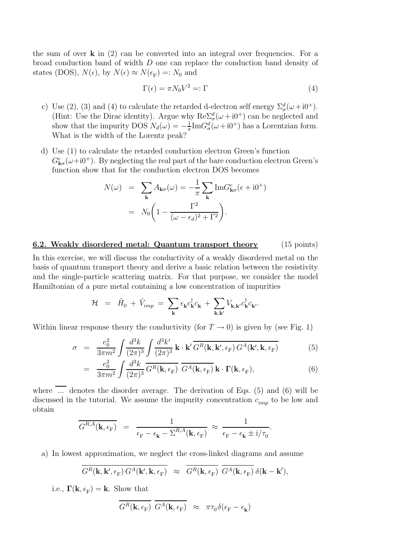the sum of over  $\bf{k}$  in (2) can be converted into an integral over frequencies. For a broad conduction band of width D one can replace the conduction band density of states (DOS),  $N(\epsilon)$ , by  $N(\epsilon) \approx N(\epsilon_F) =: N_0$  and

$$
\Gamma(\epsilon) = \pi N_0 V^2 =: \Gamma \tag{4}
$$

- c) Use (2), (3) and (4) to calculate the retarded d-electron self energy  $\Sigma^d_\sigma(\omega + i0^+)$ . (Hint: Use the Dirac identity). Argue why  $\text{Re}\Sigma^d_\sigma(\omega+i0^+)$  can be neglected and show that the impurity DOS  $N_d(\omega) = -\frac{1}{\pi}$  $\frac{1}{\pi}$ Im $G^d_{\sigma}(\omega + i0^+)$  has a Lorentzian form. What is the width of the Lorentz peak?
- d) Use (1) to calculate the retarded conduction electron Green's function  $G_{\mathbf{k}\sigma}^{c}(\omega+i0^{+})$ . By neglecting the real part of the bare conduction electron Green's function show that for the conduction electron DOS becomes

$$
N(\omega) = \sum_{\mathbf{k}} A_{\mathbf{k}\sigma}(\omega) = -\frac{1}{\pi} \sum_{\mathbf{k}} \text{Im} G_{\mathbf{k}\sigma}^c(\epsilon + i0^+) = N_0 \left( 1 - \frac{\Gamma^2}{(\omega - \epsilon_d)^2 + \Gamma^2} \right).
$$

#### 6.2. Weakly disordered metal: Quantum transport theory (15 points)

In this exercise, we will discuss the conductivity of a weakly disordered metal on the basis of quantum transport theory and derive a basic relation between the resistivity and the single-particle scattering matrix. For that purpose, we consider the model Hamiltonian of a pure metal containing a low concentration of impurities

$$
\mathcal{H} = \hat{H}_0 + \hat{V}_{imp} = \sum_{\mathbf{k}} \epsilon_{\mathbf{k}} c_{\mathbf{k}}^{\dagger} c_{\mathbf{k}} + \sum_{\mathbf{k}, \mathbf{k}'} V_{\mathbf{k}, \mathbf{k}'} c_{\mathbf{k}}^{\dagger} c_{\mathbf{k}'}.
$$

Within linear response theory the conductivity (for  $T \to 0$ ) is given by (see Fig. 1)

$$
\sigma = \frac{e_0^2}{3\pi m^2} \int \frac{d^3k}{(2\pi)^3} \int \frac{d^3k'}{(2\pi)^3} \mathbf{k} \cdot \mathbf{k'} \overline{G^R(\mathbf{k}, \mathbf{k'}, \epsilon_F) G^A(\mathbf{k'}, \mathbf{k}, \epsilon_F)}
$$
(5)

$$
= \frac{e_0^2}{3\pi m^2} \int \frac{d^3k}{(2\pi)^3} \overline{G^R(\mathbf{k}, \epsilon_{\mathrm{F}})} \overline{G^A(\mathbf{k}, \epsilon_{\mathrm{F}})} \mathbf{k} \cdot \Gamma(\mathbf{k}, \epsilon_{\mathrm{F}}), \tag{6}
$$

where  $\overline{\ldots}$  denotes the disorder average. The derivation of Eqs. (5) and (6) will be discussed in the tutorial. We assume the impurity concentration  $c_{imp}$  to be low and obtain

$$
\overline{G^{R,A}(\mathbf{k},\epsilon_{\mathrm{F}})} = \frac{1}{\epsilon_{\mathrm{F}} - \epsilon_{\mathbf{k}} - \Sigma^{R,A}(\mathbf{k},\epsilon_{\mathrm{F}})} \approx \frac{1}{\epsilon_{\mathrm{F}} - \epsilon_{\mathbf{k}} \pm i/\tau_{0}}.
$$

a) In lowest approximation, we neglect the cross-linked diagrams and assume

$$
\overline{G^R(\mathbf{k},\mathbf{k}',\epsilon_{\mathrm{F}})}\,G^A(\mathbf{k}',\mathbf{k},\epsilon_{\mathrm{F}})\,\,\approx\,\,\overline{G^R(\mathbf{k},\epsilon_{\mathrm{F}})}\,\,\overline{G^A(\mathbf{k},\epsilon_{\mathrm{F}})}\,\delta(\mathbf{k}-\mathbf{k}'),
$$

i.e.,  $\mathbf{\Gamma}(\mathbf{k}, \epsilon_{\text{F}}) = \mathbf{k}$ . Show that

$$
\overline{G^{R}(\mathbf{k}, \epsilon_{\mathrm{F}})} \ \overline{G^{A}(\mathbf{k}, \epsilon_{\mathrm{F}})} \ \approx \ \pi \tau_{0} \delta(\epsilon_{\mathrm{F}} - \epsilon_{\mathbf{k}})
$$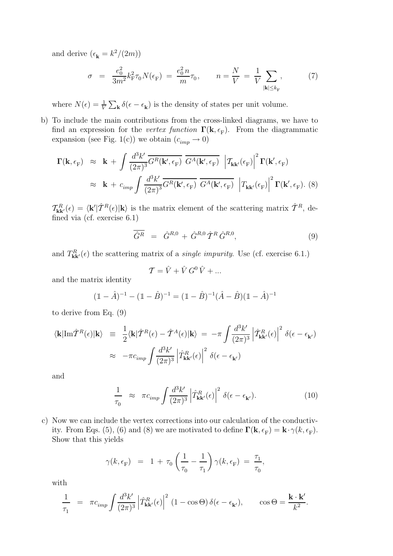and derive  $(\epsilon_{\mathbf{k}} = k^2/(2m))$ 

$$
\sigma = \frac{e_0^2}{3m^2} k_{\rm F}^2 \tau_0 N(\epsilon_{\rm F}) = \frac{e_0^2 n}{m} \tau_0, \qquad n = \frac{N}{V} = \frac{1}{V} \sum_{|\mathbf{k}| \le k_{\rm F}} , \tag{7}
$$

where  $N(\epsilon) = \frac{1}{V} \sum_{\mathbf{k}} \delta(\epsilon - \epsilon_{\mathbf{k}})$  is the density of states per unit volume.

b) To include the main contributions from the cross-linked diagrams, we have to find an expression for the vertex function  $\Gamma(\mathbf{k}, \epsilon_F)$ . From the diagrammatic expansion (see Fig. 1(c)) we obtain  $(c_{imp} \rightarrow 0)$ 

$$
\Gamma(\mathbf{k}, \epsilon_{\mathrm{F}}) \approx \mathbf{k} + \int \frac{d^3 k'}{(2\pi)^3} \overline{G^R(\mathbf{k}', \epsilon_{\mathrm{F}})} \overline{G^A(\mathbf{k}', \epsilon_{\mathrm{F}})} \left| \mathcal{T}_{\mathbf{k}\mathbf{k}'}(\epsilon_{\mathrm{F}}) \right|^2 \Gamma(\mathbf{k}', \epsilon_{\mathrm{F}})
$$

$$
\approx \mathbf{k} + c_{imp} \int \frac{d^3 k'}{(2\pi)^3} \overline{G^R(\mathbf{k}', \epsilon_{\mathrm{F}})} \overline{G^A(\mathbf{k}', \epsilon_{\mathrm{F}})} \left| \mathcal{T}_{\mathbf{k}\mathbf{k}'}(\epsilon_{\mathrm{F}}) \right|^2 \Gamma(\mathbf{k}', \epsilon_{\mathrm{F}}). (8)
$$

 $\mathcal{T}_{\mathbf{k}\mathbf{k}'}^{R}(\epsilon) = \langle \mathbf{k'} | \hat{\mathcal{T}}^{R}(\epsilon) | \mathbf{k} \rangle$  is the matrix element of the scattering matrix  $\hat{\mathcal{T}}^{R}$ , defined via (cf. exercise 6.1)

$$
\overline{\hat{G}^R} = \hat{G}^{R,0} + \hat{G}^{R,0} \hat{T}^R \hat{G}^{R,0}, \qquad (9)
$$

and  $T_{\bf kk'}^{R}(\epsilon)$  the scattering matrix of a *single impurity*. Use (cf. exercise 6.1.)

$$
\mathcal{T} = \hat{V} + \hat{V} G^0 \hat{V} + \dots
$$

and the matrix identity

$$
(\mathbb{1} - \hat{A})^{-1} - (\mathbb{1} - \hat{B})^{-1} = (\mathbb{1} - \hat{B})^{-1}(\hat{A} - \hat{B})(\mathbb{1} - \hat{A})^{-1}
$$

to derive from Eq. (9)

$$
\langle \mathbf{k} | \mathrm{Im} \hat{T}^{R}(\epsilon) | \mathbf{k} \rangle = \frac{1}{2} \langle \mathbf{k} | \hat{T}^{R}(\epsilon) - \hat{T}^{A}(\epsilon) | \mathbf{k} \rangle = -\pi \int \frac{d^{3}k'}{(2\pi)^{3}} \left| \hat{T}^{R}_{\mathbf{k}\mathbf{k}'}(\epsilon) \right|^{2} \delta(\epsilon - \epsilon_{\mathbf{k}'})
$$

$$
\approx -\pi c_{imp} \int \frac{d^{3}k'}{(2\pi)^{3}} \left| \hat{T}^{R}_{\mathbf{k}\mathbf{k}'}(\epsilon) \right|^{2} \delta(\epsilon - \epsilon_{\mathbf{k}'})
$$

and

$$
\frac{1}{\tau_0} \approx \pi c_{imp} \int \frac{d^3 k'}{(2\pi)^3} \left| \hat{T}^R_{\mathbf{k}\mathbf{k}'}(\epsilon) \right|^2 \delta(\epsilon - \epsilon_{\mathbf{k}'}). \tag{10}
$$

c) Now we can include the vertex corrections into our calculation of the conductivity. From Eqs. (5), (6) and (8) we are motivated to define  $\mathbf{\Gamma}(\mathbf{k}, \epsilon_{\text{F}}) = \mathbf{k} \cdot \gamma(k, \epsilon_{\text{F}})$ . Show that this yields

$$
\gamma(k, \epsilon_{\rm F}) = 1 + \tau_0 \left( \frac{1}{\tau_0} - \frac{1}{\tau_1} \right) \gamma(k, \epsilon_{\rm F}) = \frac{\tau_1}{\tau_0},
$$

with

$$
\frac{1}{\tau_1} = \pi c_{imp} \int \frac{d^3 k'}{(2\pi)^3} \left| \hat{T}^R_{\mathbf{k}\mathbf{k}'}(\epsilon) \right|^2 (1 - \cos \Theta) \, \delta(\epsilon - \epsilon_{\mathbf{k}'}), \qquad \cos \Theta = \frac{\mathbf{k} \cdot \mathbf{k}'}{k^2}.
$$